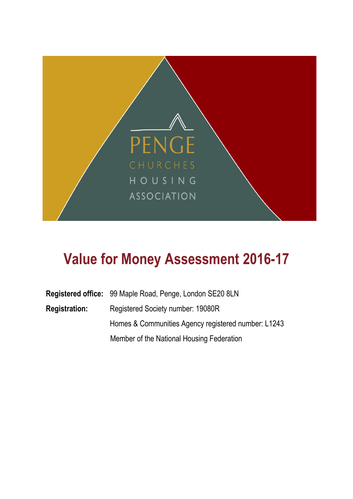

# **Value for Money Assessment 2016-17**

|                      | <b>Registered office:</b> 99 Maple Road, Penge, London SE20 8LN |
|----------------------|-----------------------------------------------------------------|
| <b>Registration:</b> | Registered Society number: 19080R                               |
|                      | Homes & Communities Agency registered number: L1243             |
|                      | Member of the National Housing Federation                       |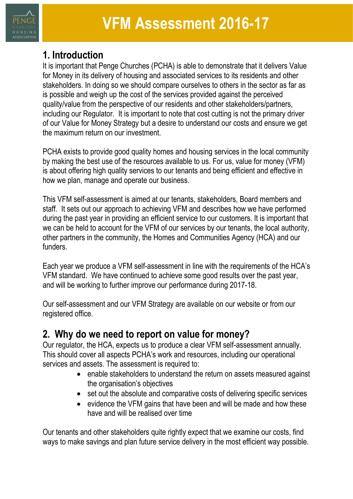

#### **1. Introduction**

It is important that Penge Churches (PCHA) is able to demonstrate that it delivers Value for Money in its delivery of housing and associated services to its residents and other stakeholders. In doing so we should compare ourselves to others in the sector as far as is possible and weigh up the cost of the services provided against the perceived quality/value from the perspective of our residents and other stakeholders/partners, including our Regulator. It is important to note that cost cutting is not the primary driver of our Value for Money Strategy but a desire to understand our costs and ensure we get the maximum return on our investment.

PCHA exists to provide good quality homes and housing services in the local community by making the best use of the resources available to us. For us, value for money (VFM) is about offering high quality services to our tenants and being efficient and effective in how we plan, manage and operate our business.

This VFM self-assessment is aimed at our tenants, stakeholders, Board members and staff. It sets out our approach to achieving VFM and describes how we have performed during the past year in providing an efficient service to our customers. It is important that we can be held to account for the VFM of our services by our tenants, the local authority, other partners in the community, the Homes and Communities Agency (HCA) and our funders.

Each year we produce a VFM self-assessment in line with the requirements of the HCA's VFM standard. We have continued to achieve some good results over the past year, and will be working to further improve our performance during 2017-18.

Our self-assessment and our VFM Strategy are available on our website or from our registered office.

## **2. Why do we need to report on value for money?**

Our regulator, the HCA, expects us to produce a clear VFM self-assessment annually. This should cover all aspects PCHA's work and resources, including our operational services and assets. The assessment is required to:

- enable stakeholders to understand the return on assets measured against the organisation's objectives
- set out the absolute and comparative costs of delivering specific services
- evidence the VFM gains that have been and will be made and how these have and will be realised over time

Our tenants and other stakeholders quite rightly expect that we examine our costs, find ways to make savings and plan future service delivery in the most efficient way possible.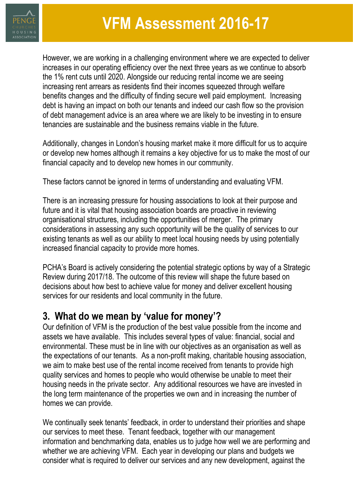

However, we are working in a challenging environment where we are expected to deliver increases in our operating efficiency over the next three years as we continue to absorb the 1% rent cuts until 2020. Alongside our reducing rental income we are seeing increasing rent arrears as residents find their incomes squeezed through welfare benefits changes and the difficulty of finding secure well paid employment. Increasing debt is having an impact on both our tenants and indeed our cash flow so the provision of debt management advice is an area where we are likely to be investing in to ensure tenancies are sustainable and the business remains viable in the future.

Additionally, changes in London's housing market make it more difficult for us to acquire or develop new homes although it remains a key objective for us to make the most of our financial capacity and to develop new homes in our community.

These factors cannot be ignored in terms of understanding and evaluating VFM.

There is an increasing pressure for housing associations to look at their purpose and future and it is vital that housing association boards are proactive in reviewing organisational structures, including the opportunities of merger. The primary considerations in assessing any such opportunity will be the quality of services to our existing tenants as well as our ability to meet local housing needs by using potentially increased financial capacity to provide more homes.

PCHA's Board is actively considering the potential strategic options by way of a Strategic Review during 2017/18. The outcome of this review will shape the future based on decisions about how best to achieve value for money and deliver excellent housing services for our residents and local community in the future.

#### **3. What do we mean by 'value for money'?**

Our definition of VFM is the production of the best value possible from the income and assets we have available. This includes several types of value: financial, social and environmental. These must be in line with our objectives as an organisation as well as the expectations of our tenants. As a non-profit making, charitable housing association, we aim to make best use of the rental income received from tenants to provide high quality services and homes to people who would otherwise be unable to meet their housing needs in the private sector. Any additional resources we have are invested in the long term maintenance of the properties we own and in increasing the number of homes we can provide.

We continually seek tenants' feedback, in order to understand their priorities and shape our services to meet these. Tenant feedback, together with our management information and benchmarking data, enables us to judge how well we are performing and whether we are achieving VFM. Each year in developing our plans and budgets we consider what is required to deliver our services and any new development, against the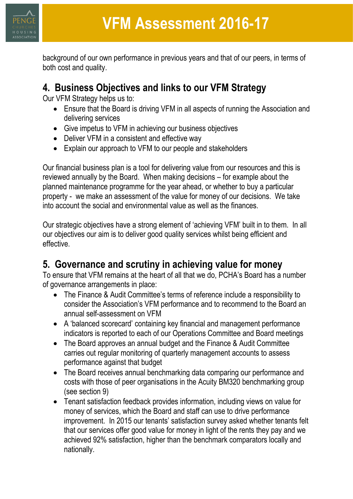

background of our own performance in previous years and that of our peers, in terms of both cost and quality.

## **4. Business Objectives and links to our VFM Strategy**

Our VFM Strategy helps us to:

- Ensure that the Board is driving VFM in all aspects of running the Association and delivering services
- Give impetus to VFM in achieving our business objectives
- Deliver VFM in a consistent and effective way
- Explain our approach to VFM to our people and stakeholders

Our financial business plan is a tool for delivering value from our resources and this is reviewed annually by the Board. When making decisions – for example about the planned maintenance programme for the year ahead, or whether to buy a particular property - we make an assessment of the value for money of our decisions. We take into account the social and environmental value as well as the finances.

Our strategic objectives have a strong element of 'achieving VFM' built in to them. In all our objectives our aim is to deliver good quality services whilst being efficient and effective.

# **5. Governance and scrutiny in achieving value for money**

To ensure that VFM remains at the heart of all that we do, PCHA's Board has a number of governance arrangements in place:

- The Finance & Audit Committee's terms of reference include a responsibility to consider the Association's VFM performance and to recommend to the Board an annual self-assessment on VFM
- A 'balanced scorecard' containing key financial and management performance indicators is reported to each of our Operations Committee and Board meetings
- The Board approves an annual budget and the Finance & Audit Committee carries out regular monitoring of quarterly management accounts to assess performance against that budget
- The Board receives annual benchmarking data comparing our performance and costs with those of peer organisations in the Acuity BM320 benchmarking group (see section 9)
- Tenant satisfaction feedback provides information, including views on value for money of services, which the Board and staff can use to drive performance improvement. In 2015 our tenants' satisfaction survey asked whether tenants felt that our services offer good value for money in light of the rents they pay and we achieved 92% satisfaction, higher than the benchmark comparators locally and nationally.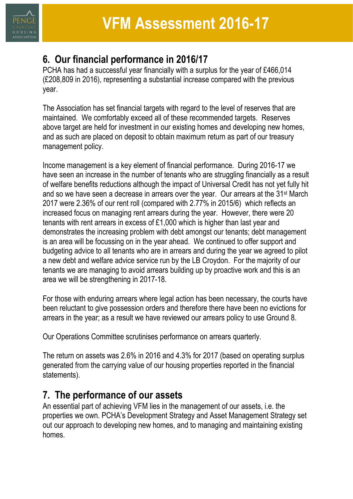

## **6. Our financial performance in 2016/17**

PCHA has had a successful year financially with a surplus for the year of £466,014 (£208,809 in 2016), representing a substantial increase compared with the previous year.

The Association has set financial targets with regard to the level of reserves that are maintained. We comfortably exceed all of these recommended targets. Reserves above target are held for investment in our existing homes and developing new homes, and as such are placed on deposit to obtain maximum return as part of our treasury management policy.

Income management is a key element of financial performance. During 2016-17 we have seen an increase in the number of tenants who are struggling financially as a result of welfare benefits reductions although the impact of Universal Credit has not yet fully hit and so we have seen a decrease in arrears over the year. Our arrears at the 31st March 2017 were 2.36% of our rent roll (compared with 2.77% in 2015/6) which reflects an increased focus on managing rent arrears during the year. However, there were 20 tenants with rent arrears in excess of £1,000 which is higher than last year and demonstrates the increasing problem with debt amongst our tenants; debt management is an area will be focussing on in the year ahead. We continued to offer support and budgeting advice to all tenants who are in arrears and during the year we agreed to pilot a new debt and welfare advice service run by the LB Croydon. For the majority of our tenants we are managing to avoid arrears building up by proactive work and this is an area we will be strengthening in 2017-18.

For those with enduring arrears where legal action has been necessary, the courts have been reluctant to give possession orders and therefore there have been no evictions for arrears in the year; as a result we have reviewed our arrears policy to use Ground 8.

Our Operations Committee scrutinises performance on arrears quarterly.

The return on assets was 2.6% in 2016 and 4.3% for 2017 (based on operating surplus generated from the carrying value of our housing properties reported in the financial statements).

#### **7. The performance of our assets**

An essential part of achieving VFM lies in the management of our assets, i.e. the properties we own. PCHA's Development Strategy and Asset Management Strategy set out our approach to developing new homes, and to managing and maintaining existing homes.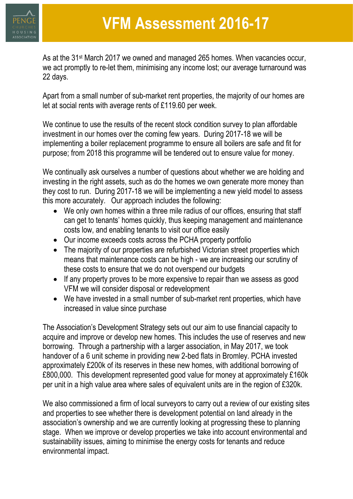

As at the 31st March 2017 we owned and managed 265 homes. When vacancies occur, we act promptly to re-let them, minimising any income lost; our average turnaround was 22 days.

Apart from a small number of sub-market rent properties, the majority of our homes are let at social rents with average rents of £119.60 per week.

We continue to use the results of the recent stock condition survey to plan affordable investment in our homes over the coming few years. During 2017-18 we will be implementing a boiler replacement programme to ensure all boilers are safe and fit for purpose; from 2018 this programme will be tendered out to ensure value for money.

We continually ask ourselves a number of questions about whether we are holding and investing in the right assets, such as do the homes we own generate more money than they cost to run. During 2017-18 we will be implementing a new yield model to assess this more accurately. Our approach includes the following:

- We only own homes within a three mile radius of our offices, ensuring that staff can get to tenants' homes quickly, thus keeping management and maintenance costs low, and enabling tenants to visit our office easily
- Our income exceeds costs across the PCHA property portfolio
- The majority of our properties are refurbished Victorian street properties which means that maintenance costs can be high - we are increasing our scrutiny of these costs to ensure that we do not overspend our budgets
- If any property proves to be more expensive to repair than we assess as good VFM we will consider disposal or redevelopment
- We have invested in a small number of sub-market rent properties, which have increased in value since purchase

The Association's Development Strategy sets out our aim to use financial capacity to acquire and improve or develop new homes. This includes the use of reserves and new borrowing. Through a partnership with a larger association, in May 2017, we took handover of a 6 unit scheme in providing new 2-bed flats in Bromley. PCHA invested approximately £200k of its reserves in these new homes, with additional borrowing of £800,000. This development represented good value for money at approximately £160k per unit in a high value area where sales of equivalent units are in the region of £320k.

We also commissioned a firm of local surveyors to carry out a review of our existing sites and properties to see whether there is development potential on land already in the association's ownership and we are currently looking at progressing these to planning stage. When we improve or develop properties we take into account environmental and sustainability issues, aiming to minimise the energy costs for tenants and reduce environmental impact.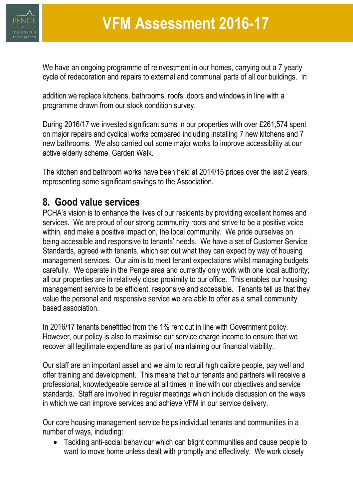

We have an ongoing programme of reinvestment in our homes, carrying out a 7 yearly cycle of redecoration and repairs to external and communal parts of all our buildings. In

addition we replace kitchens, bathrooms, roofs, doors and windows in line with a programme drawn from our stock condition survey.

During 2016/17 we invested significant sums in our properties with over £261,574 spent on major repairs and cyclical works compared including installing 7 new kitchens and 7 new bathrooms. We also carried out some major works to improve accessibility at our active elderly scheme, Garden Walk.

The kitchen and bathroom works have been held at 2014/15 prices over the last 2 years, representing some significant savings to the Association.

#### **8. Good value services**

PCHA's vision is to enhance the lives of our residents by providing excellent homes and services. We are proud of our strong community roots and strive to be a positive voice within, and make a positive impact on, the local community. We pride ourselves on being accessible and responsive to tenants' needs. We have a set of Customer Service Standards, agreed with tenants, which set out what they can expect by way of housing management services. Our aim is to meet tenant expectations whilst managing budgets carefully. We operate in the Penge area and currently only work with one local authority; all our properties are in relatively close proximity to our office. This enables our housing management service to be efficient, responsive and accessible. Tenants tell us that they value the personal and responsive service we are able to offer as a small community based association.

In 2016/17 tenants benefitted from the 1% rent cut in line with Government policy. However, our policy is also to maximise our service charge income to ensure that we recover all legitimate expenditure as part of maintaining our financial viability.

Our staff are an important asset and we aim to recruit high calibre people, pay well and offer training and development. This means that our tenants and partners will receive a professional, knowledgeable service at all times in line with our objectives and service standards. Staff are involved in regular meetings which include discussion on the ways in which we can improve services and achieve VFM in our service delivery.

Our core housing management service helps individual tenants and communities in a number of ways, including:

 Tackling anti-social behaviour which can blight communities and cause people to want to move home unless dealt with promptly and effectively. We work closely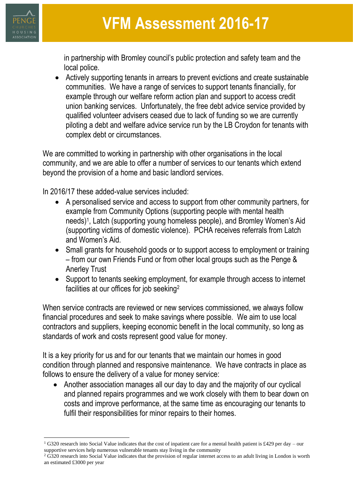

in partnership with Bromley council's public protection and safety team and the local police.

 Actively supporting tenants in arrears to prevent evictions and create sustainable communities. We have a range of services to support tenants financially, for example through our welfare reform action plan and support to access credit union banking services. Unfortunately, the free debt advice service provided by qualified volunteer advisers ceased due to lack of funding so we are currently piloting a debt and welfare advice service run by the LB Croydon for tenants with complex debt or circumstances.

We are committed to working in partnership with other organisations in the local community, and we are able to offer a number of services to our tenants which extend beyond the provision of a home and basic landlord services.

In 2016/17 these added-value services included:

- A personalised service and access to support from other community partners, for example from Community Options (supporting people with mental health needs)<sup>1</sup>, Latch (supporting young homeless people), and Bromley Women's Aid (supporting victims of domestic violence). PCHA receives referrals from Latch and Women's Aid.
- Small grants for household goods or to support access to employment or training – from our own Friends Fund or from other local groups such as the Penge & Anerley Trust
- Support to tenants seeking employment, for example through access to internet facilities at our offices for job seeking<sup>2</sup>

When service contracts are reviewed or new services commissioned, we always follow financial procedures and seek to make savings where possible. We aim to use local contractors and suppliers, keeping economic benefit in the local community, so long as standards of work and costs represent good value for money.

It is a key priority for us and for our tenants that we maintain our homes in good condition through planned and responsive maintenance. We have contracts in place as follows to ensure the delivery of a value for money service:

 Another association manages all our day to day and the majority of our cyclical and planned repairs programmes and we work closely with them to bear down on costs and improve performance, at the same time as encouraging our tenants to fulfil their responsibilities for minor repairs to their homes.

**<sup>.</sup>**  $1$  G320 research into Social Value indicates that the cost of inpatient care for a mental health patient is £429 per day – our supportive services help numerous vulnerable tenants stay living in the community

<sup>&</sup>lt;sup>2</sup> G320 research into Social Value indicates that the provision of regular internet access to an adult living in London is worth an estimated £3000 per year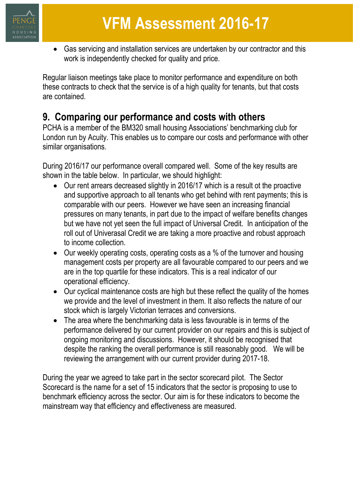

 Gas servicing and installation services are undertaken by our contractor and this work is independently checked for quality and price.

Regular liaison meetings take place to monitor performance and expenditure on both these contracts to check that the service is of a high quality for tenants, but that costs are contained.

## **9. Comparing our performance and costs with others**

PCHA is a member of the BM320 small housing Associations' benchmarking club for London run by Acuity. This enables us to compare our costs and performance with other similar organisations.

During 2016/17 our performance overall compared well. Some of the key results are shown in the table below. In particular, we should highlight:

- Our rent arrears decreased slightly in 2016/17 which is a result ot the proactive and supportive approach to all tenants who get behind with rent payments; this is comparable with our peers. However we have seen an increasing financial pressures on many tenants, in part due to the impact of welfare benefits changes but we have not yet seen the full impact of Universal Credit. In anticipation of the roll out of Univerasal Credit we are taking a more proactive and robust approach to income collection.
- Our weekly operating costs, operating costs as a % of the turnover and housing management costs per property are all favourable compared to our peers and we are in the top quartile for these indicators. This is a real indicator of our operational efficiency.
- Our cyclical maintenance costs are high but these reflect the quality of the homes we provide and the level of investment in them. It also reflects the nature of our stock which is largely Victorian terraces and conversions.
- The area where the benchmarking data is less favourable is in terms of the performance delivered by our current provider on our repairs and this is subject of ongoing monitoring and discussions. However, it should be recognised that despite the ranking the overall performance is still reasonably good. We will be reviewing the arrangement with our current provider during 2017-18.

During the year we agreed to take part in the sector scorecard pilot. The Sector Scorecard is the name for a set of 15 indicators that the sector is proposing to use to benchmark efficiency across the sector. Our aim is for these indicators to become the mainstream way that efficiency and effectiveness are measured.